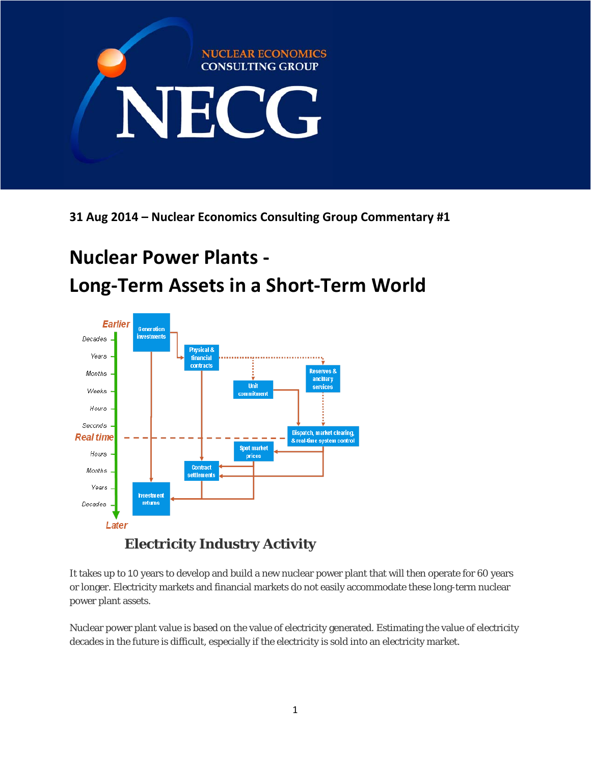

**31 Aug 2014 – Nuclear Economics Consulting Group Commentary #1**

# **Nuclear Power Plants ‐ Long‐Term Assets in a Short‐Term World**



It takes up to 10 years to develop and build a new nuclear power plant that will then operate for 60 years or longer. Electricity markets and financial markets do not easily accommodate these long-term nuclear power plant assets.

Nuclear power plant value is based on the value of electricity generated. Estimating the value of electricity decades in the future is difficult, especially if the electricity is sold into an electricity market.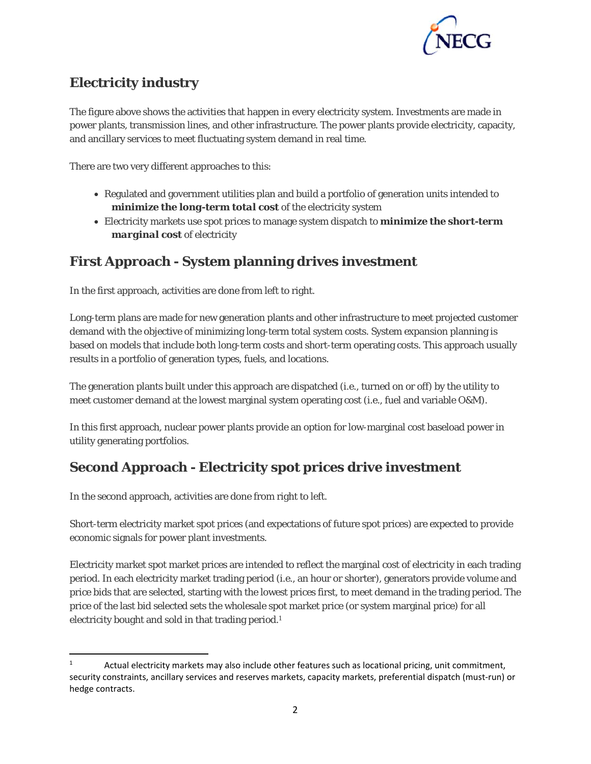

## **Electricity industry**

The figure above shows the activities that happen in every electricity system. Investments are made in power plants, transmission lines, and other infrastructure. The power plants provide electricity, capacity, and ancillary services to meet fluctuating system demand in real time.

There are two very different approaches to this:

- Regulated and government utilities plan and build a portfolio of generation units intended to *minimize the long-term total cost* of the electricity system
- Electricity markets use spot prices to manage system dispatch to *minimize the short-term marginal cost* of electricity

## **First Approach - System planning drives investment**

In the first approach, activities are done from left to right.

Long-term plans are made for new generation plants and other infrastructure to meet projected customer demand with the objective of minimizing long-term total system costs. System expansion planning is based on models that include both long-term costs and short-term operating costs. This approach usually results in a portfolio of generation types, fuels, and locations.

The generation plants built under this approach are dispatched (i.e., turned on or off) by the utility to meet customer demand at the lowest marginal system operating cost (i.e., fuel and variable O&M).

In this first approach, nuclear power plants provide an option for low-marginal cost baseload power in utility generating portfolios.

### **Second Approach - Electricity spot prices drive investment**

In the second approach, activities are done from right to left.

Short-term electricity market spot prices (and expectations of future spot prices) are expected to provide economic signals for power plant investments.

Electricity market spot market prices are intended to reflect the marginal cost of electricity in each trading period. In each electricity market trading period (i.e., an hour or shorter), generators provide volume and price bids that are selected, starting with the lowest prices first, to meet demand in the trading period. The price of the last bid selected sets the wholesale spot market price (or system marginal price) for all electricity bought and sold in that trading period.<sup>1</sup>

 1 Actual electricity markets may also include other features such as locational pricing, unit commitment, security constraints, ancillary services and reserves markets, capacity markets, preferential dispatch (must-run) or hedge contracts.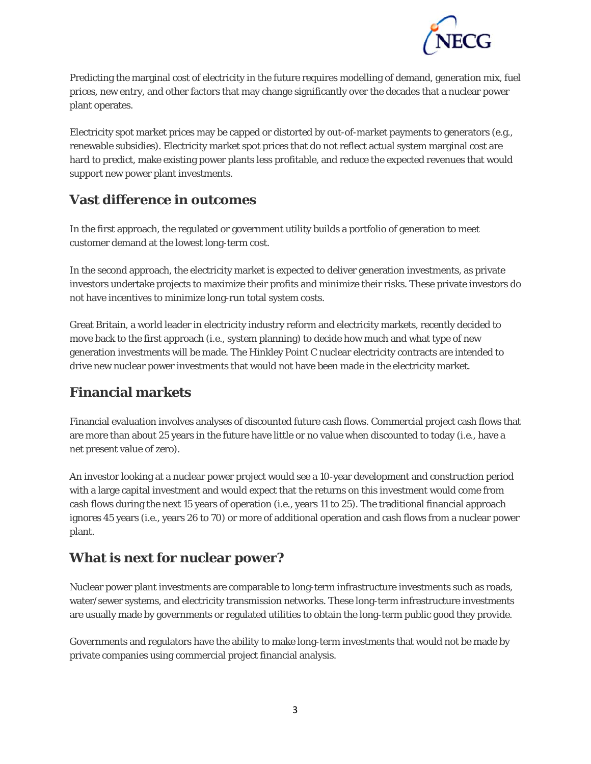

Predicting the marginal cost of electricity in the future requires modelling of demand, generation mix, fuel prices, new entry, and other factors that may change significantly over the decades that a nuclear power plant operates.

Electricity spot market prices may be capped or distorted by out-of-market payments to generators (e.g., renewable subsidies). Electricity market spot prices that do not reflect actual system marginal cost are hard to predict, make existing power plants less profitable, and reduce the expected revenues that would support new power plant investments.

#### **Vast difference in outcomes**

In the first approach, the regulated or government utility builds a portfolio of generation to meet customer demand at the lowest long-term cost.

In the second approach, the electricity market is expected to deliver generation investments, as private investors undertake projects to maximize their profits and minimize their risks. These private investors do not have incentives to minimize long-run total system costs.

Great Britain, a world leader in electricity industry reform and electricity markets, recently decided to move back to the first approach (i.e., system planning) to decide how much and what type of new generation investments will be made. The Hinkley Point C nuclear electricity contracts are intended to drive new nuclear power investments that would not have been made in the electricity market.

### **Financial markets**

Financial evaluation involves analyses of discounted future cash flows. Commercial project cash flows that are more than about 25 years in the future have little or no value when discounted to today (i.e., have a net present value of zero).

An investor looking at a nuclear power project would see a 10-year development and construction period with a large capital investment and would expect that the returns on this investment would come from cash flows during the next 15 years of operation (i.e., years 11 to 25). The traditional financial approach ignores 45 years (i.e., years 26 to 70) or more of additional operation and cash flows from a nuclear power plant.

### **What is next for nuclear power?**

Nuclear power plant investments are comparable to long-term infrastructure investments such as roads, water/sewer systems, and electricity transmission networks. These long-term infrastructure investments are usually made by governments or regulated utilities to obtain the long-term public good they provide.

Governments and regulators have the ability to make long-term investments that would not be made by private companies using commercial project financial analysis.